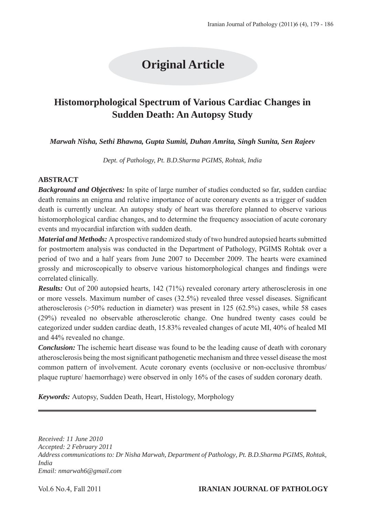# **Original Article**

## **Histomorphological Spectrum of Various Cardiac Changes in Sudden Death: An Autopsy Study**

*Marwah Nisha, Sethi Bhawna, Gupta Sumiti, Duhan Amrita, Singh Sunita, Sen Rajeev*

*Dept. of Pathology, Pt. B.D.Sharma PGIMS, Rohtak, India*

#### **ABSTRACT**

*Background and Objectives:* In spite of large number of studies conducted so far, sudden cardiac death remains an enigma and relative importance of acute coronary events as a trigger of sudden death is currently unclear. An autopsy study of heart was therefore planned to observe various histomorphological cardiac changes, and to determine the frequency association of acute coronary events and myocardial infarction with sudden death.

*Material and Methods:* A prospective randomized study of two hundred autopsied hearts submitted for postmortem analysis was conducted in the Department of Pathology, PGIMS Rohtak over a period of two and a half years from June 2007 to December 2009. The hearts were examined grossly and microscopically to observe various histomorphological changes and findings were correlated clinically.

*Results:* Out of 200 autopsied hearts, 142 (71%) revealed coronary artery atherosclerosis in one or more vessels. Maximum number of cases (32.5%) revealed three vessel diseases. Significant atherosclerosis (>50% reduction in diameter) was present in 125 (62.5%) cases, while 58 cases (29%) revealed no observable atherosclerotic change. One hundred twenty cases could be categorized under sudden cardiac death, 15.83% revealed changes of acute MI, 40% of healed MI and 44% revealed no change.

*Conclusion:* The ischemic heart disease was found to be the leading cause of death with coronary atherosclerosis being the most significant pathogenetic mechanism and three vessel disease the most common pattern of involvement. Acute coronary events (occlusive or non-occlusive thrombus/ plaque rupture/ haemorrhage) were observed in only 16% of the cases of sudden coronary death.

*Keywords:* Autopsy, Sudden Death, Heart, Histology, Morphology

*Received: 11 June 2010 Accepted: 2 February 2011 Address communications to: Dr Nisha Marwah, Department of Pathology, Pt. B.D.Sharma PGIMS, Rohtak, India Email: nmarwah6@gmail.com*

#### Vol.6 No.4, Fall 2011 **IRANIAN JOURNAL OF PATHOLOGY**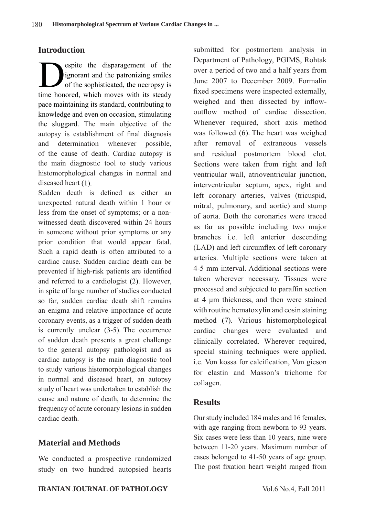### **Introduction**

espite the disparagement of the<br>ignorant and the patronizing smiles<br>of the sophisticated, the necropsy is<br>time benefice which may be with its steady. ignorant and the patronizing smiles of the sophisticated, the necropsy is time honored, which moves with its steady pace maintaining its standard, contributing to knowledge and even on occasion, stimulating the sluggard. The main objective of the autopsy is establishment of final diagnosis and determination whenever possible, of the cause of death. Cardiac autopsy is the main diagnostic tool to study various histomorphological changes in normal and diseased heart (1).

Sudden death is defined as either an unexpected natural death within 1 hour or less from the onset of symptoms; or a nonwitnessed death discovered within 24 hours in someone without prior symptoms or any prior condition that would appear fatal. Such a rapid death is often attributed to a cardiac cause. Sudden cardiac death can be prevented if high-risk patients are identified and referred to a cardiologist (2). However, in spite of large number of studies conducted so far, sudden cardiac death shift remains an enigma and relative importance of acute coronary events, as a trigger of sudden death is currently unclear (3-5). The occurrence of sudden death presents a great challenge to the general autopsy pathologist and as cardiac autopsy is the main diagnostic tool to study various histomorphological changes in normal and diseased heart, an autopsy study of heart was undertaken to establish the cause and nature of death, to determine the frequency of acute coronary lesions in sudden cardiac death.

### **Material and Methods**

We conducted a prospective randomized study on two hundred autopsied hearts submitted for postmortem analysis in Department of Pathology, PGIMS, Rohtak over a period of two and a half years from June 2007 to December 2009. Formalin fixed specimens were inspected externally, weighed and then dissected by inflowoutflow method of cardiac dissection. Whenever required, short axis method was followed (6). The heart was weighed after removal of extraneous vessels and residual postmortem blood clot. Sections were taken from right and left ventricular wall, atrioventricular junction, interventricular septum, apex, right and left coronary arteries, valves (tricuspid, mitral, pulmonary, and aortic) and stump of aorta. Both the coronaries were traced as far as possible including two major branches i.e. left anterior descending (LAD) and left circumflex of left coronary arteries. Multiple sections were taken at 4-5 mm interval. Additional sections were taken wherever necessary. Tissues were processed and subjected to paraffin section at 4 μm thickness, and then were stained with routine hematoxylin and eosin staining method (7). Various histomorphological cardiac changes were evaluated and clinically correlated. Wherever required, special staining techniques were applied, i.e. Von kossa for calcification, Von gieson for elastin and Masson's trichome for collagen.

### **Results**

Our study included 184 males and 16 females, with age ranging from newborn to 93 years. Six cases were less than 10 years, nine were between 11-20 years. Maximum number of cases belonged to 41-50 years of age group. The post fixation heart weight ranged from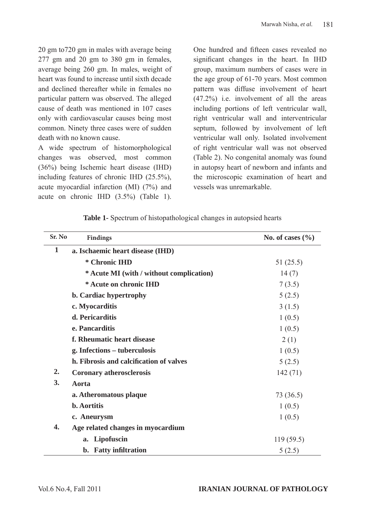20 gm to720 gm in males with average being 277 gm and 20 gm to 380 gm in females, average being 260 gm. In males, weight of heart was found to increase until sixth decade and declined thereafter while in females no particular pattern was observed. The alleged cause of death was mentioned in 107 cases only with cardiovascular causes being most common. Ninety three cases were of sudden death with no known cause.

A wide spectrum of histomorphological changes was observed, most common (36%) being Ischemic heart disease (IHD) including features of chronic IHD (25.5%), acute myocardial infarction (MI) (7%) and acute on chronic IHD (3.5%) (Table 1).

One hundred and fifteen cases revealed no significant changes in the heart. In IHD group, maximum numbers of cases were in the age group of 61-70 years. Most common pattern was diffuse involvement of heart (47.2%) i.e. involvement of all the areas including portions of left ventricular wall, right ventricular wall and interventricular septum, followed by involvement of left ventricular wall only. Isolated involvement of right ventricular wall was not observed (Table 2). No congenital anomaly was found in autopsy heart of newborn and infants and the microscopic examination of heart and vessels was unremarkable.

| Sr. No       | Findings                                 | No. of cases $(\%$ |
|--------------|------------------------------------------|--------------------|
| $\mathbf{1}$ | a. Ischaemic heart disease (IHD)         |                    |
|              | * Chronic IHD                            | 51(25.5)           |
|              | * Acute MI (with / without complication) | 14(7)              |
|              | * Acute on chronic IHD                   | 7(3.5)             |
|              | b. Cardiac hypertrophy                   | 5(2.5)             |
|              | c. Myocarditis                           | 3(1.5)             |
|              | d. Pericarditis                          | 1(0.5)             |
|              | e. Pancarditis                           | 1(0.5)             |
|              | f. Rheumatic heart disease               | 2(1)               |
|              | g. Infections – tuberculosis             | 1(0.5)             |
|              | h. Fibrosis and calcification of valves  | 5(2.5)             |
| 2.           | <b>Coronary atherosclerosis</b>          | 142(71)            |
| 3.           | Aorta                                    |                    |
|              | a. Atheromatous plaque                   | 73 (36.5)          |
|              | <b>b.</b> Aortitis                       | 1(0.5)             |
|              | c. Aneurysm                              | 1(0.5)             |
| 4.           | Age related changes in myocardium        |                    |
|              | Lipofuscin<br>a.                         | 119(59.5)          |
|              | b. Fatty infiltration                    | 5(2.5)             |

**Table 1-** Spectrum of histopathological changes in autopsied hearts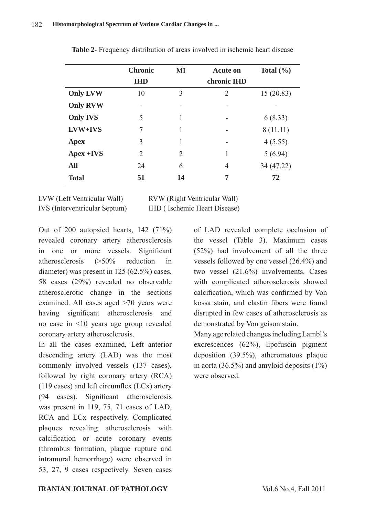|                 | <b>Chronic</b><br><b>IHD</b> | MI | <b>Acute on</b><br>chronic IHD | Total $(\% )$ |
|-----------------|------------------------------|----|--------------------------------|---------------|
| <b>Only LVW</b> | 10                           | 3  | 2                              | 15(20.83)     |
| <b>Only RVW</b> |                              |    | ۰                              |               |
| <b>Only IVS</b> | 5                            | 1  |                                | 6(8.33)       |
| LVW+IVS         | 7                            |    |                                | 8(11.11)      |
| <b>Apex</b>     | 3                            |    |                                | 4(5.55)       |
| Apex +IVS       | 2                            | 2  |                                | 5(6.94)       |
| <b>All</b>      | 24                           | 6  | $\overline{4}$                 | 34 (47.22)    |
| <b>Total</b>    | 51                           | 14 | 7                              | 72            |

**Table 2**- Frequency distribution of areas involved in ischemic heart disease

LVW (Left Ventricular Wall) RVW (Right Ventricular Wall) IVS (Interventricular Septum) IHD ( Ischemic Heart Disease)

Out of 200 autopsied hearts, 142 (71%) revealed coronary artery atherosclerosis in one or more vessels. Significant atherosclerosis (>50% reduction in diameter) was present in 125 (62.5%) cases, 58 cases (29%) revealed no observable atherosclerotic change in the sections examined. All cases aged >70 years were having significant atherosclerosis and no case in <10 years age group revealed coronary artery atherosclerosis.

In all the cases examined, Left anterior descending artery (LAD) was the most commonly involved vessels (137 cases), followed by right coronary artery (RCA) (119 cases) and left circumflex (LCx) artery (94 cases). Significant atherosclerosis was present in 119, 75, 71 cases of LAD, RCA and LCx respectively. Complicated plaques revealing atherosclerosis with calcification or acute coronary events (thrombus formation, plaque rupture and intramural hemorrhage) were observed in 53, 27, 9 cases respectively. Seven cases

of LAD revealed complete occlusion of the vessel (Table 3). Maximum cases (52%) had involvement of all the three vessels followed by one vessel (26.4%) and two vessel (21.6%) involvements. Cases with complicated atherosclerosis showed calcification, which was confirmed by Von kossa stain, and elastin fibers were found disrupted in few cases of atherosclerosis as demonstrated by Von geison stain.

Many age related changes including Lambl's excrescences (62%), lipofuscin pigment deposition (39.5%), atheromatous plaque in aorta (36.5%) and amyloid deposits  $(1\%)$ were observed.

#### **IRANIAN JOURNAL OF PATHOLOGY** Vol.6 No.4, Fall 2011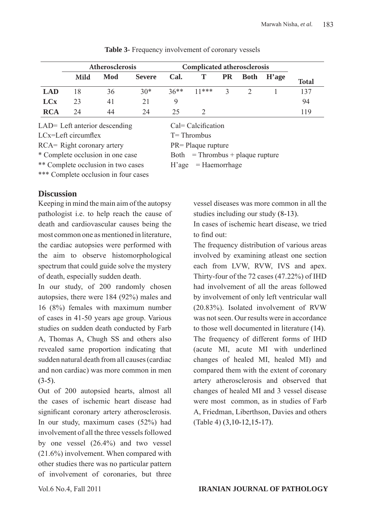|            | Atherosclerosis |     |               | <b>Complicated atherosclerosis</b> |         |              |             |                           |              |
|------------|-----------------|-----|---------------|------------------------------------|---------|--------------|-------------|---------------------------|--------------|
|            | Mild            | Mod | <b>Severe</b> | Cal.                               | T       | <b>PR</b>    | <b>Both</b> | $\mathbf{H}^{\prime}$ age | <b>Total</b> |
| <b>LAD</b> | 18              | 36  | $30*$         | $36**$                             | $11***$ | $\mathbf{R}$ |             |                           | 137          |
| <b>LCx</b> | 23              | 41  | 21            |                                    |         |              |             |                           | 94           |
| <b>RCA</b> | 24              | 44  | 24            | 25                                 |         |              |             |                           | 119          |

**Table 3-** Frequency involvement of coronary vessels

LAD= Left anterior descending Cal= Calcification

LCx=Left circumflex T= Thrombus

RCA= Right coronary artery PR= Plaque rupture

\* Complete occlusion in one case Both = Thrombus + plaque rupture

\*\* Complete occlusion in two cases H'age = Haemorrhage

\*\*\* Complete occlusion in four cases

#### **Discussion**

Keeping in mind the main aim of the autopsy pathologist i.e. to help reach the cause of death and cardiovascular causes being the most common one as mentioned in literature, the cardiac autopsies were performed with the aim to observe histomorphological spectrum that could guide solve the mystery of death, especially sudden death.

In our study, of 200 randomly chosen autopsies, there were 184 (92%) males and 16 (8%) females with maximum number of cases in 41-50 years age group. Various studies on sudden death conducted by Farb A, Thomas A, Chugh SS and others also revealed same proportion indicating that sudden natural death from all causes (cardiac and non cardiac) was more common in men  $(3-5)$ .

Out of 200 autopsied hearts, almost all the cases of ischemic heart disease had significant coronary artery atherosclerosis. In our study, maximum cases (52%) had involvement of all the three vessels followed by one vessel (26.4%) and two vessel (21.6%) involvement. When compared with other studies there was no particular pattern of involvement of coronaries, but three

vessel diseases was more common in all the studies including our study (8-13).

In cases of ischemic heart disease, we tried to find out:

The frequency distribution of various areas involved by examining atleast one section each from LVW, RVW, IVS and apex. Thirty-four of the 72 cases (47.22%) of IHD had involvement of all the areas followed by involvement of only left ventricular wall (20.83%). Isolated involvement of RVW was not seen. Our results were in accordance to those well documented in literature (14). The frequency of different forms of IHD (acute MI, acute MI with underlined changes of healed MI, healed MI) and compared them with the extent of coronary artery atherosclerosis and observed that changes of healed MI and 3 vessel disease were most common, as in studies of Farb A, Friedman, Liberthson, Davies and others (Table 4) (3,10-12,15-17).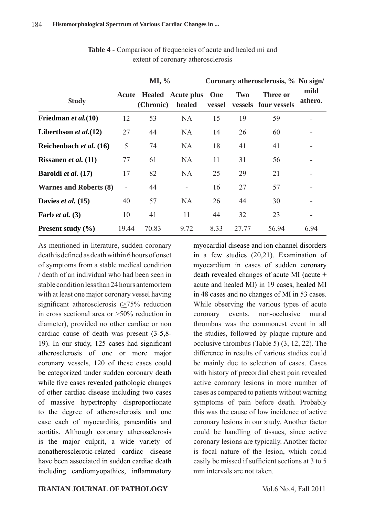|                               |                          | MI, %     |                                          |               | Coronary atherosclerosis, % No sign/ |                                  |                 |  |
|-------------------------------|--------------------------|-----------|------------------------------------------|---------------|--------------------------------------|----------------------------------|-----------------|--|
| <b>Study</b>                  |                          | (Chronic) | <b>Acute Healed Acute plus</b><br>healed | One<br>vessel | <b>Two</b>                           | Three or<br>vessels four vessels | mild<br>athero. |  |
| Friedman et al. (10)          | 12                       | 53        | <b>NA</b>                                | 15            | 19                                   | 59                               |                 |  |
| Liberthson et al. $(12)$      | 27                       | 44        | <b>NA</b>                                | 14            | 26                                   | 60                               |                 |  |
| Reichenbach et al. (16)       | 5                        | 74        | <b>NA</b>                                | 18            | 41                                   | 41                               |                 |  |
| Rissanen et al. (11)          | 77                       | 61        | <b>NA</b>                                | 11            | 31                                   | 56                               |                 |  |
| Baroldi et al. (17)           | 17                       | 82        | <b>NA</b>                                | 25            | 29                                   | 21                               |                 |  |
| <b>Warnes and Roberts (8)</b> | $\overline{\phantom{m}}$ | 44        | ÷,                                       | 16            | 27                                   | 57                               |                 |  |
| Davies et al. (15)            | 40                       | 57        | <b>NA</b>                                | 26            | 44                                   | 30                               |                 |  |
| Farb <i>et al.</i> $(3)$      | 10                       | 41        | 11                                       | 44            | 32                                   | 23                               |                 |  |
| <b>Present study</b> $(\% )$  | 19.44                    | 70.83     | 9.72                                     | 8.33          | 27.77                                | 56.94                            | 6.94            |  |

**Table 4 -** Comparison of frequencies of acute and healed mi and extent of coronary atherosclerosis

As mentioned in literature, sudden coronary death is defined as death within 6 hours of onset of symptoms from a stable medical condition / death of an individual who had been seen in stable condition less than 24 hours antemortem with at least one major coronary vessel having significant atherosclerosis (>75% reduction in cross sectional area or >50% reduction in diameter), provided no other cardiac or non cardiac cause of death was present (3-5,8- 19). In our study, 125 cases had significant atherosclerosis of one or more major coronary vessels, 120 of these cases could be categorized under sudden coronary death while five cases revealed pathologic changes of other cardiac disease including two cases of massive hypertrophy disproportionate to the degree of atherosclerosis and one case each of myocarditis, pancarditis and aortitis. Although coronary atherosclerosis is the major culprit, a wide variety of nonatherosclerotic-related cardiac disease have been associated in sudden cardiac death including cardiomyopathies, inflammatory

myocardial disease and ion channel disorders in a few studies (20,21). Examination of myocardium in cases of sudden coronary death revealed changes of acute MI (acute + acute and healed MI) in 19 cases, healed MI in 48 cases and no changes of MI in 53 cases. While observing the various types of acute coronary events, non-occlusive mural thrombus was the commonest event in all the studies, followed by plaque rupture and occlusive thrombus (Table 5) (3, 12, 22). The difference in results of various studies could be mainly due to selection of cases. Cases with history of precordial chest pain revealed active coronary lesions in more number of cases as compared to patients without warning symptoms of pain before death. Probably this was the cause of low incidence of active coronary lesions in our study. Another factor could be handling of tissues, since active coronary lesions are typically. Another factor is focal nature of the lesion, which could easily be missed if sufficient sections at 3 to 5 mm intervals are not taken.

#### **IRANIAN JOURNAL OF PATHOLOGY** Vol.6 No.4, Fall 2011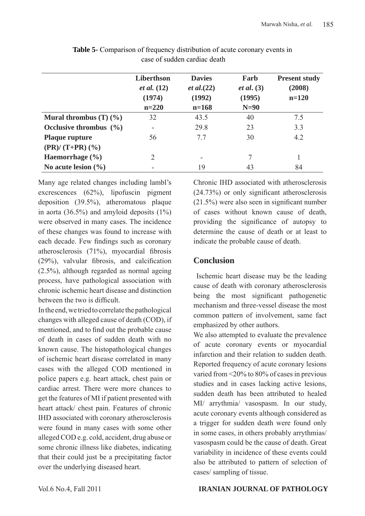|                                                         | Liberthson<br><i>et al.</i> $(12)$<br>(1974) | <b>Davies</b><br><i>et al.</i> $(22)$<br>(1992) | Farb<br><i>et al.</i> $(3)$<br>(1995) | <b>Present study</b><br>(2008)<br>$n=120$ |  |
|---------------------------------------------------------|----------------------------------------------|-------------------------------------------------|---------------------------------------|-------------------------------------------|--|
|                                                         | $n=220$                                      | $n=168$                                         | $N=90$                                |                                           |  |
| Mural thrombus $(T)$ $(\frac{9}{6})$                    | 32                                           | 43.5                                            | 40                                    | 7.5                                       |  |
| Occlusive thrombus $(\% )$                              | Ξ.                                           | 29.8                                            | 23                                    | 3.3                                       |  |
| <b>Plaque rupture</b><br>$(PR)/ (T+PR)$ $(\frac{9}{6})$ | 56                                           | 77                                              | 30                                    | 4.2                                       |  |
| Haemorrhage $(\% )$                                     | 2                                            | -                                               | 7                                     |                                           |  |
| No acute lesion $(\% )$                                 |                                              | 19                                              | 43                                    | 84                                        |  |

**Table 5-** Comparison of frequency distribution of acute coronary events in case of sudden cardiac death

Many age related changes including lambl's excrescences (62%), lipofuscin pigment deposition (39.5%), atheromatous plaque in aorta (36.5%) and amyloid deposits  $(1\%)$ were observed in many cases. The incidence of these changes was found to increase with each decade. Few findings such as coronary atherosclerosis (71%), myocardial fibrosis (29%), valvular fibrosis, and calcification (2.5%), although regarded as normal ageing process, have pathological association with chronic ischemic heart disease and distinction between the two is difficult.

In the end, we tried to correlate the pathological changes with alleged cause of death (COD), if mentioned, and to find out the probable cause of death in cases of sudden death with no known cause. The histopathological changes of ischemic heart disease correlated in many cases with the alleged COD mentioned in police papers e.g. heart attack, chest pain or cardiac arrest. There were more chances to get the features of MI if patient presented with heart attack/ chest pain. Features of chronic IHD associated with coronary atherosclerosis were found in many cases with some other alleged COD e.g. cold, accident, drug abuse or some chronic illness like diabetes, indicating that their could just be a precipitating factor over the underlying diseased heart.

Chronic IHD associated with atherosclerosis (24.73%) or only significant atherosclerosis (21.5%) were also seen in significant number of cases without known cause of death, providing the significance of autopsy to determine the cause of death or at least to indicate the probable cause of death.

### **Conclusion**

 Ischemic heart disease may be the leading cause of death with coronary atherosclerosis being the most significant pathogenetic mechanism and three-vessel disease the most common pattern of involvement, same fact emphasized by other authors.

We also attempted to evaluate the prevalence of acute coronary events or myocardial infarction and their relation to sudden death. Reported frequency of acute coronary lesions varied from <20% to 80% of cases in previous studies and in cases lacking active lesions, sudden death has been attributed to healed MI/ arrythmia/ vasospasm. In our study, acute coronary events although considered as a trigger for sudden death were found only in some cases, in others probably arrythmias/ vasospasm could be the cause of death. Great variability in incidence of these events could also be attributed to pattern of selection of cases/ sampling of tissue.